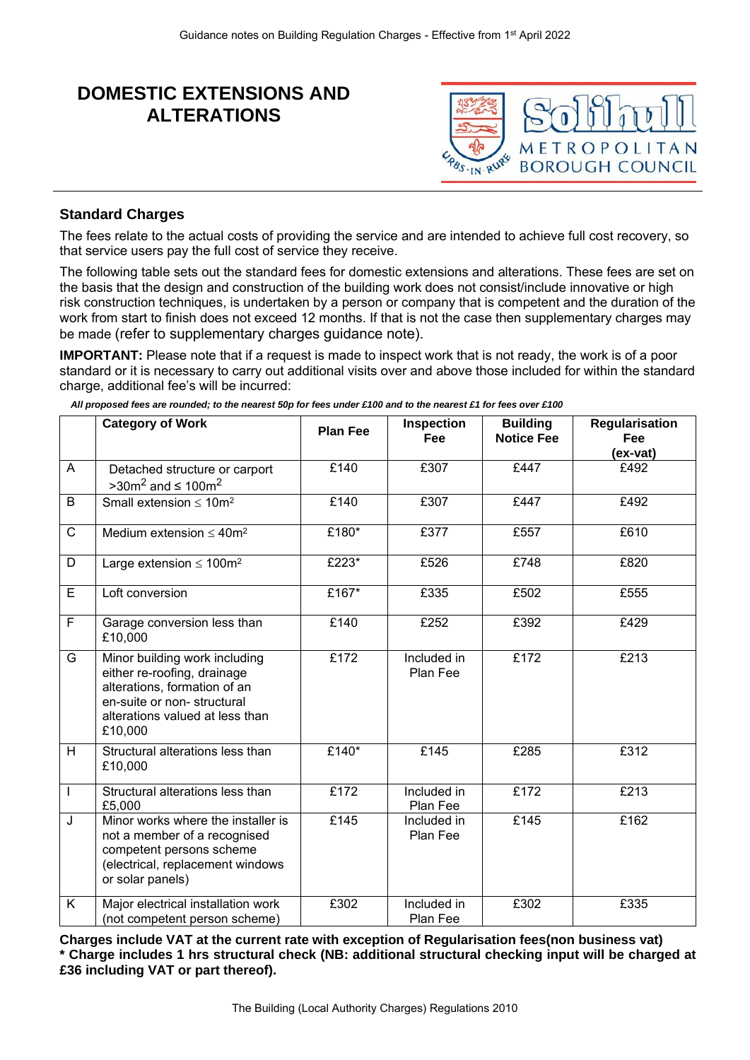# **DOMESTIC EXTENSIONS AND ALTERATIONS**



## **Standard Charges**

The fees relate to the actual costs of providing the service and are intended to achieve full cost recovery, so that service users pay the full cost of service they receive.

The following table sets out the standard fees for domestic extensions and alterations. These fees are set on the basis that the design and construction of the building work does not consist/include innovative or high risk construction techniques, is undertaken by a person or company that is competent and the duration of the work from start to finish does not exceed 12 months. If that is not the case then supplementary charges may be made (refer to supplementary charges guidance note).

**IMPORTANT:** Please note that if a request is made to inspect work that is not ready, the work is of a poor standard or it is necessary to carry out additional visits over and above those included for within the standard charge, additional fee's will be incurred:

|  |  | All proposed fees are rounded; to the nearest 50p for fees under £100 and to the nearest £1 for fees over £100 |  |  |  |  |  |  |  |
|--|--|----------------------------------------------------------------------------------------------------------------|--|--|--|--|--|--|--|
|  |  |                                                                                                                |  |  |  |  |  |  |  |

|                         | <b>Category of Work</b>                                                                                                                                                  | <b>Plan Fee</b> | Inspection<br>Fee       | <b>Building</b><br><b>Notice Fee</b> | <b>Regularisation</b><br><b>Fee</b> |
|-------------------------|--------------------------------------------------------------------------------------------------------------------------------------------------------------------------|-----------------|-------------------------|--------------------------------------|-------------------------------------|
|                         |                                                                                                                                                                          |                 |                         |                                      | (ex-vat)                            |
| A                       | Detached structure or carport<br>$>30m^2$ and $\leq 100m^2$                                                                                                              | £140            | £307                    | £447                                 | £492                                |
| B                       | Small extension $\leq 10$ m <sup>2</sup>                                                                                                                                 | £140            | £307                    | £447                                 | £492                                |
| $\overline{C}$          | Medium extension $\leq 40$ m <sup>2</sup>                                                                                                                                | £180*           | £377                    | £557                                 | £610                                |
| D                       | Large extension $\leq 100$ m <sup>2</sup>                                                                                                                                | £223*           | £526                    | £748                                 | £820                                |
| E                       | Loft conversion                                                                                                                                                          | £167*           | £335                    | £502                                 | £555                                |
| $\overline{F}$          | Garage conversion less than<br>£10,000                                                                                                                                   | £140            | £252                    | £392                                 | £429                                |
| G                       | Minor building work including<br>either re-roofing, drainage<br>alterations, formation of an<br>en-suite or non-structural<br>alterations valued at less than<br>£10,000 | £172            | Included in<br>Plan Fee | £172                                 | £213                                |
| H                       | Structural alterations less than<br>£10,000                                                                                                                              | £140*           | £145                    | £285                                 | £312                                |
| $\mathbf{I}$            | Structural alterations less than<br>£5,000                                                                                                                               | £172            | Included in<br>Plan Fee | £172                                 | E213                                |
| J                       | Minor works where the installer is<br>not a member of a recognised<br>competent persons scheme<br>(electrical, replacement windows<br>or solar panels)                   | £145            | Included in<br>Plan Fee | £145                                 | £162                                |
| $\overline{\mathsf{K}}$ | Major electrical installation work<br>(not competent person scheme)                                                                                                      | £302            | Included in<br>Plan Fee | £302                                 | £335                                |

**Charges include VAT at the current rate with exception of Regularisation fees(non business vat) \* Charge includes 1 hrs structural check (NB: additional structural checking input will be charged at £36 including VAT or part thereof).**